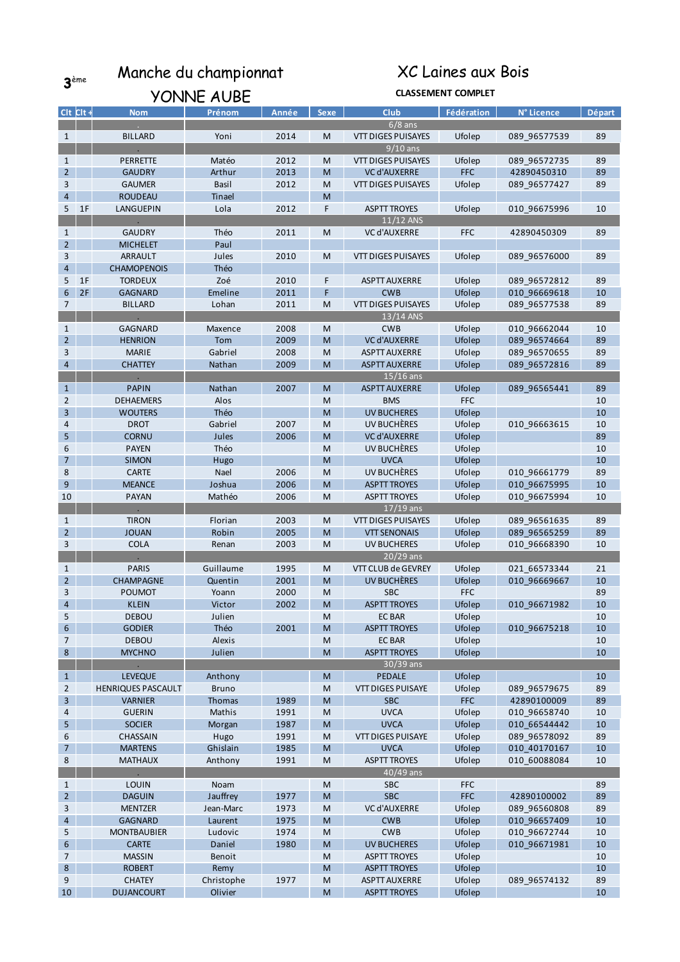3ème Manche du championnat

## XC Laines aux Bois

|                |               | YONNE AUBE                |               |       | <b>CLASSEMENT COMPLET</b>                                                                                  |                           |            |              |        |  |
|----------------|---------------|---------------------------|---------------|-------|------------------------------------------------------------------------------------------------------------|---------------------------|------------|--------------|--------|--|
|                | $Clt$ $Clt +$ | <b>Nom</b>                | Prénom        | Année | <b>Sexe</b>                                                                                                | <b>Club</b>               | Fédération | N° Licence   | Départ |  |
|                |               |                           |               |       |                                                                                                            | $6/8$ ans                 |            |              |        |  |
| 1              |               | <b>BILLARD</b>            | Yoni          | 2014  | M                                                                                                          | <b>VTT DIGES PUISAYES</b> | Ufolep     | 089_96577539 | 89     |  |
|                |               |                           |               |       |                                                                                                            | $9/10$ ans                |            |              |        |  |
| 1              |               | PERRETTE                  | Matéo         | 2012  | M                                                                                                          | VTT DIGES PUISAYES        | Ufolep     | 089_96572735 | 89     |  |
| $\overline{2}$ |               | <b>GAUDRY</b>             | Arthur        | 2013  | M                                                                                                          | <b>VC d'AUXERRE</b>       | <b>FFC</b> | 42890450310  | 89     |  |
| 3              |               | <b>GAUMER</b>             | <b>Basil</b>  | 2012  | M                                                                                                          | VTT DIGES PUISAYES        | Ufolep     | 089 96577427 | 89     |  |
| 4              |               | <b>ROUDEAU</b>            | <b>Tinael</b> |       | M                                                                                                          |                           |            |              |        |  |
| 5              | 1F            | LANGUEPIN                 | Lola          | 2012  | F                                                                                                          | <b>ASPTT TROYES</b>       | Ufolep     | 010_96675996 | 10     |  |
|                |               |                           |               |       |                                                                                                            | $11/12$ ANS               |            |              |        |  |
| $\mathbf{1}$   |               | <b>GAUDRY</b>             | Théo          | 2011  | M                                                                                                          | <b>VC d'AUXERRE</b>       | <b>FFC</b> | 42890450309  | 89     |  |
| 2 <sup>2</sup> |               | <b>MICHELET</b>           | Paul          |       |                                                                                                            |                           |            |              |        |  |
| 3              |               | <b>ARRAULT</b>            | Jules         | 2010  | M                                                                                                          | VTT DIGES PUISAYES        | Ufolep     | 089_96576000 | 89     |  |
| $\overline{4}$ |               | <b>CHAMOPENOIS</b>        | Théo          |       |                                                                                                            |                           |            |              |        |  |
| 5              | 1F            | <b>TORDEUX</b>            | Zoé           | 2010  | F                                                                                                          | <b>ASPTT AUXERRE</b>      | Ufolep     | 089_96572812 | 89     |  |
| 6              | 2F            | <b>GAGNARD</b>            | Emeline       | 2011  | F                                                                                                          | <b>CWB</b>                | Ufolep     | 010 96669618 | 10     |  |
| 7              |               | <b>BILLARD</b>            | Lohan         | 2011  | M                                                                                                          | <b>VTT DIGES PUISAYES</b> | Ufolep     | 089 96577538 | 89     |  |
|                |               |                           |               |       |                                                                                                            | $13/14$ ANS               |            |              |        |  |
| $\mathbf{1}$   |               | GAGNARD                   | Maxence       | 2008  | M                                                                                                          | <b>CWB</b>                | Ufolep     | 010_96662044 | 10     |  |
| $\overline{2}$ |               | <b>HENRION</b>            | Tom           | 2009  | M                                                                                                          | <b>VC d'AUXERRE</b>       | Ufolep     | 089_96574664 | 89     |  |
| 3              |               | <b>MARIE</b>              | Gabriel       | 2008  | M                                                                                                          | <b>ASPTT AUXERRE</b>      | Ufolep     | 089_96570655 | 89     |  |
| 4              |               | <b>CHATTEY</b>            | Nathan        | 2009  | M                                                                                                          | <b>ASPTT AUXERRE</b>      | Ufolep     | 089 96572816 | 89     |  |
|                |               |                           |               |       |                                                                                                            | $15/16$ ans               |            |              |        |  |
| $\mathbf{1}$   |               | <b>PAPIN</b>              | Nathan        | 2007  | M                                                                                                          | <b>ASPTT AUXERRE</b>      | Ufolep     | 089 96565441 | 89     |  |
| 2              |               | <b>DEHAEMERS</b>          | Alos          |       | M                                                                                                          | <b>BMS</b>                | <b>FFC</b> |              | 10     |  |
| 3              |               | <b>WOUTERS</b>            | Théo          |       | M                                                                                                          | <b>UV BUCHERES</b>        | Ufolep     |              | 10     |  |
| 4              |               | <b>DROT</b>               | Gabriel       | 2007  | M                                                                                                          | UV BUCHÈRES               | Ufolep     | 010_96663615 | 10     |  |
| 5              |               | <b>CORNU</b>              | Jules         | 2006  | M                                                                                                          | <b>VC d'AUXERRE</b>       | Ufolep     |              | 89     |  |
| 6              |               | <b>PAYEN</b>              | Théo          |       | M                                                                                                          | UV BUCHÈRES               | Ufolep     |              | 10     |  |
| $\overline{7}$ |               | <b>SIMON</b>              | Hugo          |       | M                                                                                                          | <b>UVCA</b>               | Ufolep     |              | 10     |  |
| 8              |               | <b>CARTE</b>              | Nael          | 2006  | M                                                                                                          | UV BUCHÈRES               | Ufolep     | 010_96661779 | 89     |  |
| 9              |               | <b>MEANCE</b>             | Joshua        | 2006  | M                                                                                                          | <b>ASPTT TROYES</b>       | Ufolep     | 010 96675995 | 10     |  |
| 10             |               | <b>PAYAN</b>              | Mathéo        | 2006  | M                                                                                                          | <b>ASPTT TROYES</b>       | Ufolep     | 010_96675994 | 10     |  |
|                |               |                           |               |       |                                                                                                            | $17/19$ ans               |            |              |        |  |
| $\mathbf{1}$   |               | <b>TIRON</b>              | Florian       | 2003  | M                                                                                                          | VTT DIGES PUISAYES        | Ufolep     | 089_96561635 | 89     |  |
| $\overline{2}$ |               | <b>JOUAN</b>              | Robin         | 2005  | M                                                                                                          | <b>VTT SENONAIS</b>       | Ufolep     | 089_96565259 | 89     |  |
| 3              |               | <b>COLA</b>               | Renan         | 2003  | M                                                                                                          | <b>UV BUCHERES</b>        | Ufolep     | 010_96668390 | 10     |  |
|                |               |                           |               |       |                                                                                                            | $20/29$ ans               |            |              |        |  |
| $\mathbf{1}$   |               | <b>PARIS</b>              | Guillaume     | 1995  | M                                                                                                          | VTT CLUB de GEVREY        | Ufolep     | 021_66573344 | 21     |  |
| $\overline{2}$ |               | CHAMPAGNE                 | Quentin       | 2001  | M                                                                                                          | UV BUCHÈRES               | Ufolep     | 010 96669667 | 10     |  |
| 3              |               | <b>POUMOT</b>             | Yoann         | 2000  | M                                                                                                          | SBC                       | <b>FFC</b> |              | 89     |  |
| $\overline{4}$ |               | <b>KLEIN</b>              | Victor        | 2002  | ${\sf M}$                                                                                                  | <b>ASPTT TROYES</b>       | Ufolep     | 010 96671982 | 10     |  |
| 5              |               | <b>DEBOU</b>              | Julien        |       | M                                                                                                          | <b>EC BAR</b>             | Ufolep     |              | 10     |  |
| 6              |               | <b>GODIER</b>             | Théo          | 2001  | $\mathsf{M}% _{T}=\mathsf{M}_{T}\!\left( a,b\right) ,\ \mathsf{M}_{T}=\mathsf{M}_{T}\!\left( a,b\right) ,$ | <b>ASPTT TROYES</b>       | Ufolep     | 010 96675218 | 10     |  |
| 7              |               | <b>DEBOU</b>              | Alexis        |       | M                                                                                                          | <b>EC BAR</b>             | Ufolep     |              | 10     |  |
| 8              |               | <b>MYCHNO</b>             | Julien        |       | $\mathsf{M}% _{T}=\mathsf{M}_{T}\!\left( a,b\right) ,\ \mathsf{M}_{T}=\mathsf{M}_{T}\!\left( a,b\right) ,$ | <b>ASPTT TROYES</b>       | Ufolep     |              | 10     |  |
|                |               | $\blacksquare$            |               |       |                                                                                                            | $30/39$ ans               |            |              |        |  |
| 1              |               | <b>LEVEQUE</b>            | Anthony       |       | M                                                                                                          | <b>PEDALE</b>             | Ufolep     |              | 10     |  |
| $\overline{2}$ |               | <b>HENRIQUES PASCAULT</b> | <b>Bruno</b>  |       | M                                                                                                          | <b>VTT DIGES PUISAYE</b>  | Ufolep     | 089_96579675 | 89     |  |
| $\overline{3}$ |               | <b>VARNIER</b>            | Thomas        | 1989  | $\mathsf{M}% _{T}=\mathsf{M}_{T}\!\left( a,b\right) ,\ \mathsf{M}_{T}=\mathsf{M}_{T}\!\left( a,b\right) ,$ | <b>SBC</b>                | <b>FFC</b> | 42890100009  | 89     |  |
| 4              |               | <b>GUERIN</b>             | Mathis        | 1991  | M                                                                                                          | <b>UVCA</b>               | Ufolep     | 010 96658740 | 10     |  |
| 5              |               | <b>SOCIER</b>             | Morgan        | 1987  | ${\sf M}$                                                                                                  | <b>UVCA</b>               | Ufolep     | 010 66544442 | 10     |  |
| 6              |               | CHASSAIN                  | Hugo          | 1991  | M                                                                                                          | <b>VTT DIGES PUISAYE</b>  | Ufolep     | 089 96578092 | 89     |  |
| $\overline{7}$ |               | <b>MARTENS</b>            | Ghislain      | 1985  | $\mathsf{M}% _{T}=\mathsf{M}_{T}\!\left( a,b\right) ,\ \mathsf{M}_{T}=\mathsf{M}_{T}\!\left( a,b\right) ,$ | <b>UVCA</b>               | Ufolep     | 010_40170167 | 10     |  |
| 8              |               | <b>MATHAUX</b>            | Anthony       | 1991  | M                                                                                                          | <b>ASPTT TROYES</b>       | Ufolep     | 010_60088084 | 10     |  |
|                |               |                           |               |       |                                                                                                            | $40/49$ ans               |            |              |        |  |
| $\mathbf{1}$   |               | <b>LOUIN</b>              | Noam          |       | M                                                                                                          | <b>SBC</b>                | <b>FFC</b> |              | 89     |  |
| 2 <sup>2</sup> |               | <b>DAGUIN</b>             | Jauffrey      | 1977  | $\mathsf{M}% _{T}=\mathsf{M}_{T}\!\left( a,b\right) ,\ \mathsf{M}_{T}=\mathsf{M}_{T}\!\left( a,b\right) ,$ | <b>SBC</b>                | <b>FFC</b> | 42890100002  | 89     |  |
| 3              |               | <b>MENTZER</b>            | Jean-Marc     | 1973  | M                                                                                                          | VC d'AUXERRE              | Ufolep     | 089 96560808 | 89     |  |
| 4              |               | <b>GAGNARD</b>            | Laurent       | 1975  | ${\sf M}$                                                                                                  | <b>CWB</b>                | Ufolep     | 010 96657409 | 10     |  |
| 5              |               | <b>MONTBAUBIER</b>        | Ludovic       | 1974  | M                                                                                                          | <b>CWB</b>                | Ufolep     | 010_96672744 | 10     |  |
| 6              |               | <b>CARTE</b>              | Daniel        | 1980  | ${\sf M}$                                                                                                  | <b>UV BUCHERES</b>        | Ufolep     | 010_96671981 | 10     |  |
| 7              |               | <b>MASSIN</b>             | Benoit        |       | M                                                                                                          | <b>ASPTT TROYES</b>       | Ufolep     |              | 10     |  |
| 8              |               | <b>ROBERT</b>             | Remy          |       | ${\sf M}$                                                                                                  | <b>ASPTT TROYES</b>       | Ufolep     |              | 10     |  |
| 9              |               | <b>CHATEY</b>             | Christophe    | 1977  | M                                                                                                          | <b>ASPTT AUXERRE</b>      | Ufolep     | 089_96574132 | 89     |  |
| 10             |               | <b>DUJANCOURT</b>         | Olivier       |       | ${\sf M}$                                                                                                  | <b>ASPTT TROYES</b>       | Ufolep     |              | 10     |  |